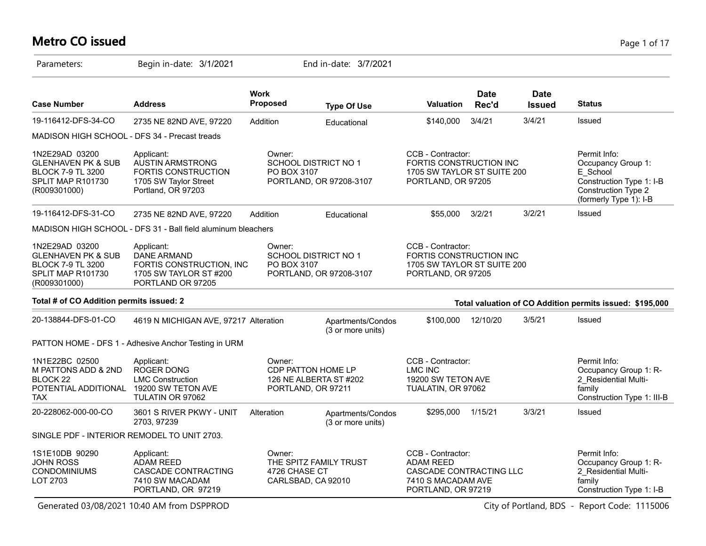#### **Metro CO issued** Page 1 of 17

| Parameters:                                                                                                           | Begin in-date: 3/1/2021                                                                                            |                         | End in-date: 3/7/2021                                              |                                                                                                              |                      |                              |                                                                                                                             |
|-----------------------------------------------------------------------------------------------------------------------|--------------------------------------------------------------------------------------------------------------------|-------------------------|--------------------------------------------------------------------|--------------------------------------------------------------------------------------------------------------|----------------------|------------------------------|-----------------------------------------------------------------------------------------------------------------------------|
| <b>Case Number</b>                                                                                                    | <b>Address</b>                                                                                                     | <b>Work</b><br>Proposed | <b>Type Of Use</b>                                                 | <b>Valuation</b>                                                                                             | <b>Date</b><br>Rec'd | <b>Date</b><br><b>Issued</b> | <b>Status</b>                                                                                                               |
| 19-116412-DFS-34-CO                                                                                                   | 2735 NE 82ND AVE, 97220                                                                                            | Addition                | Educational                                                        | \$140,000                                                                                                    | 3/4/21               | 3/4/21                       | Issued                                                                                                                      |
| MADISON HIGH SCHOOL - DFS 34 - Precast treads                                                                         |                                                                                                                    |                         |                                                                    |                                                                                                              |                      |                              |                                                                                                                             |
| 1N2E29AD 03200<br><b>GLENHAVEN PK &amp; SUB</b><br><b>BLOCK 7-9 TL 3200</b><br>SPLIT MAP R101730<br>(R009301000)      | Applicant:<br><b>AUSTIN ARMSTRONG</b><br><b>FORTIS CONSTRUCTION</b><br>1705 SW Taylor Street<br>Portland, OR 97203 | Owner:<br>PO BOX 3107   | <b>SCHOOL DISTRICT NO 1</b><br>PORTLAND, OR 97208-3107             | CCB - Contractor:<br>FORTIS CONSTRUCTION INC<br>1705 SW TAYLOR ST SUITE 200<br>PORTLAND, OR 97205            |                      |                              | Permit Info:<br>Occupancy Group 1:<br>E School<br>Construction Type 1: I-B<br>Construction Type 2<br>(formerly Type 1): I-B |
| 19-116412-DFS-31-CO                                                                                                   | 2735 NE 82ND AVE, 97220                                                                                            | Addition                | Educational                                                        | \$55,000                                                                                                     | 3/2/21               | 3/2/21                       | Issued                                                                                                                      |
|                                                                                                                       | MADISON HIGH SCHOOL - DFS 31 - Ball field aluminum bleachers                                                       |                         |                                                                    |                                                                                                              |                      |                              |                                                                                                                             |
| 1N2E29AD 03200<br><b>GLENHAVEN PK &amp; SUB</b><br><b>BLOCK 7-9 TL 3200</b><br>SPLIT MAP R101730<br>(R009301000)      | Applicant:<br><b>DANE ARMAND</b><br>FORTIS CONSTRUCTION, INC.<br>1705 SW TAYLOR ST #200<br>PORTLAND OR 97205       | Owner:<br>PO BOX 3107   | SCHOOL DISTRICT NO 1<br>PORTLAND, OR 97208-3107                    | CCB - Contractor:<br>FORTIS CONSTRUCTION INC<br>1705 SW TAYLOR ST SUITE 200<br>PORTLAND, OR 97205            |                      |                              |                                                                                                                             |
| Total # of CO Addition permits issued: 2                                                                              |                                                                                                                    |                         |                                                                    |                                                                                                              |                      |                              | Total valuation of CO Addition permits issued: \$195,000                                                                    |
| 20-138844-DFS-01-CO                                                                                                   | 4619 N MICHIGAN AVE, 97217 Alteration                                                                              |                         | Apartments/Condos<br>(3 or more units)                             | \$100,000                                                                                                    | 12/10/20             | 3/5/21                       | Issued                                                                                                                      |
|                                                                                                                       | PATTON HOME - DFS 1 - Adhesive Anchor Testing in URM                                                               |                         |                                                                    |                                                                                                              |                      |                              |                                                                                                                             |
| 1N1E22BC 02500<br>M PATTONS ADD & 2ND<br>BLOCK <sub>22</sub><br>POTENTIAL ADDITIONAL 19200 SW TETON AVE<br><b>TAX</b> | Applicant:<br><b>ROGER DONG</b><br><b>LMC Construction</b><br>TULATIN OR 97062                                     | Owner:                  | CDP PATTON HOME LP<br>126 NE ALBERTA ST #202<br>PORTLAND, OR 97211 | CCB - Contractor:<br>LMC INC<br>19200 SW TETON AVE<br>TUALATIN, OR 97062                                     |                      |                              | Permit Info:<br>Occupancy Group 1: R-<br>2 Residential Multi-<br>family<br>Construction Type 1: III-B                       |
| 20-228062-000-00-CO                                                                                                   | 3601 S RIVER PKWY - UNIT<br>2703, 97239                                                                            | Alteration              | Apartments/Condos<br>(3 or more units)                             | \$295,000                                                                                                    | 1/15/21              | 3/3/21                       | <b>Issued</b>                                                                                                               |
| SINGLE PDF - INTERIOR REMODEL TO UNIT 2703.                                                                           |                                                                                                                    |                         |                                                                    |                                                                                                              |                      |                              |                                                                                                                             |
| 1S1E10DB 90290<br><b>JOHN ROSS</b><br><b>CONDOMINIUMS</b><br>LOT 2703                                                 | Applicant:<br><b>ADAM REED</b><br>CASCADE CONTRACTING<br>7410 SW MACADAM<br>PORTLAND, OR 97219                     | Owner:<br>4726 CHASE CT | THE SPITZ FAMILY TRUST<br>CARLSBAD, CA 92010                       | CCB - Contractor:<br><b>ADAM REED</b><br>CASCADE CONTRACTING LLC<br>7410 S MACADAM AVE<br>PORTLAND, OR 97219 |                      |                              | Permit Info:<br>Occupancy Group 1: R-<br>2 Residential Multi-<br>family<br>Construction Type 1: I-B                         |

Generated 03/08/2021 10:40 AM from DSPPROD City of Portland, BDS - Report Code: 1115006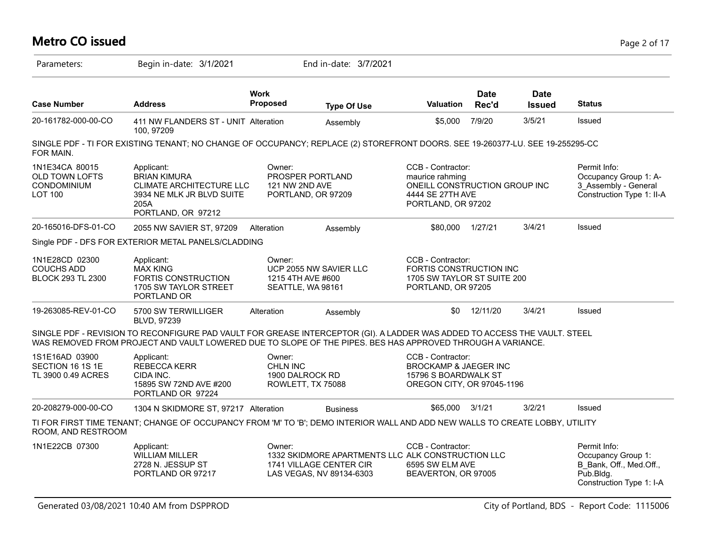#### **Metro CO issued** Page 2 of 17 Parameters: Begin in-date: 3/1/2021 End in-date: 3/7/2021 **Work Case Number Address Proposed Type Of Use Valuation Status Date Rec'd Date Issued** 20-161782-000-00-CO 411 NW FLANDERS ST - UNIT 100, 97209 Alteration Assembly \$5,000 7/9/20 3/5/21 Issued SINGLE PDF - TI FOR EXISTING TENANT; NO CHANGE OF OCCUPANCY; REPLACE (2) STOREFRONT DOORS. SEE 19-260377-LU. SEE 19-255295-CO FOR MAIN. 1N1E34CA 80015 OLD TOWN LOFTS CONDOMINIUM LOT 100 Permit Info: Occupancy Group 1: A-3\_Assembly - General Construction Type 1: II-A CCB - Contractor: maurice rahming ONEILL CONSTRUCTION GROUP INC 4444 SE 27TH AVE PORTLAND, OR 97202 Owner: PROSPER PORTLAND 121 NW 2ND AVE PORTLAND, OR 97209 Applicant: BRIAN KIMURA CLIMATE ARCHITECTURE LLC 3934 NE MLK JR BLVD SUITE 205A PORTLAND, OR 97212 20-165016-DFS-01-CO 2055 NW SAVIER ST, 97209 Alteration Assembly \$80,000 1/27/21 3/4/21 Issued Single PDF - DFS FOR EXTERIOR METAL PANELS/CLADDING 1N1E28CD 02300 COUCHS ADD BLOCK 293 TL 2300 CCB - Contractor: FORTIS CONSTRUCTION INC 1705 SW TAYLOR ST SUITE 200 PORTLAND, OR 97205 Owner: UCP 2055 NW SAVIER LLC 1215 4TH AVE #600 SEATTLE, WA 98161 Applicant: MAX KING FORTIS CONSTRUCTION 1705 SW TAYLOR STREET PORTLAND OR 19-263085-REV-01-CO 5700 SW TERWILLIGER BLVD, 97239 Alteration Assembly **60 12/11/20** 3/4/21 Issued SINGLE PDF - REVISION TO RECONFIGURE PAD VAULT FOR GREASE INTERCEPTOR (GI). A LADDER WAS ADDED TO ACCESS THE VAULT. STEEL WAS REMOVED FROM PROJECT AND VAULT LOWERED DUE TO SLOPE OF THE PIPES. BES HAS APPROVED THROUGH A VARIANCE. 1S1E16AD 03900 SECTION 16 1S 1E TL 3900 0.49 ACRES CCB - Contractor: BROCKAMP & JAEGER INC 15796 S BOARDWALK ST OREGON CITY, OR 97045-1196 Owner: CHLN INC 1900 DALROCK RD ROWLETT, TX 75088 Applicant: REBECCA KERR CIDA INC. 15895 SW 72ND AVE #200 PORTLAND OR 97224 20-208279-000-00-CO 1304 N SKIDMORE ST, 97217 Alteration Business \$65,000 3/1/21 3/2/21 Issued TI FOR FIRST TIME TENANT; CHANGE OF OCCUPANCY FROM 'M' TO 'B'; DEMO INTERIOR WALL AND ADD NEW WALLS TO CREATE LOBBY, UTILITY ROOM, AND RESTROOM 1N1E22CB 07300 Applicant: A CONDER: COB - Contractor: Permit Info: Occupancy Group 1: B\_Bank, Off., Med.Off., Pub.Bldg. Construction Type 1: I-A CCB - Contractor: 1332 SKIDMORE APARTMENTS LLC ALK CONSTRUCTION LLC 6595 SW ELM AVE BEAVERTON, OR 97005 Owner: 1741 VILLAGE CENTER CIR LAS VEGAS, NV 89134-6303 Applicant: WILLIAM MILLER 2728 N. JESSUP ST PORTLAND OR 97217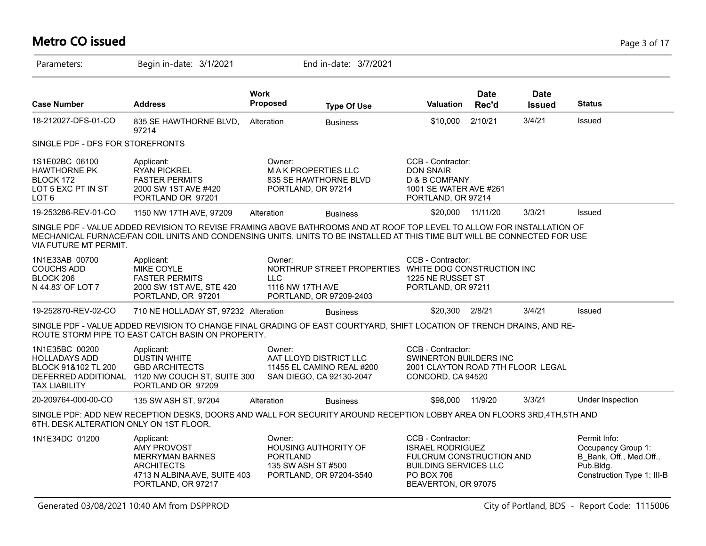# **Metro CO issued** Page 3 of 17

| Parameters:                                                                                                  | Begin in-date: 3/1/2021                                                                                                                                                                                                                            |                           | End in-date: 3/7/2021                                                                                |                                                                                                                                               |                      |                              |                                                                                                          |
|--------------------------------------------------------------------------------------------------------------|----------------------------------------------------------------------------------------------------------------------------------------------------------------------------------------------------------------------------------------------------|---------------------------|------------------------------------------------------------------------------------------------------|-----------------------------------------------------------------------------------------------------------------------------------------------|----------------------|------------------------------|----------------------------------------------------------------------------------------------------------|
| <b>Case Number</b>                                                                                           | <b>Address</b>                                                                                                                                                                                                                                     | <b>Work</b><br>Proposed   | <b>Type Of Use</b>                                                                                   | <b>Valuation</b>                                                                                                                              | <b>Date</b><br>Rec'd | <b>Date</b><br><b>Issued</b> | <b>Status</b>                                                                                            |
| 18-212027-DFS-01-CO                                                                                          | 835 SE HAWTHORNE BLVD,<br>97214                                                                                                                                                                                                                    | Alteration                | <b>Business</b>                                                                                      | \$10,000                                                                                                                                      | 2/10/21              | 3/4/21                       | Issued                                                                                                   |
| SINGLE PDF - DFS FOR STOREFRONTS                                                                             |                                                                                                                                                                                                                                                    |                           |                                                                                                      |                                                                                                                                               |                      |                              |                                                                                                          |
| 1S1E02BC 06100<br><b>HAWTHORNE PK</b><br>BLOCK 172<br>LOT 5 EXC PT IN ST<br>LOT <sub>6</sub>                 | Applicant:<br><b>RYAN PICKREL</b><br><b>FASTER PERMITS</b><br>2000 SW 1ST AVE #420<br>PORTLAND OR 97201                                                                                                                                            | Owner:                    | <b>MAK PROPERTIES LLC</b><br>835 SE HAWTHORNE BLVD<br>PORTLAND, OR 97214                             | CCB - Contractor:<br><b>DON SNAIR</b><br>D & B COMPANY<br>1001 SE WATER AVE #261<br>PORTLAND, OR 97214                                        |                      |                              |                                                                                                          |
| 19-253286-REV-01-CO                                                                                          | 1150 NW 17TH AVE, 97209                                                                                                                                                                                                                            | Alteration                | <b>Business</b>                                                                                      | \$20,000                                                                                                                                      | 11/11/20             | 3/3/21                       | Issued                                                                                                   |
| VIA FUTURE MT PERMIT.                                                                                        | SINGLE PDF - VALUE ADDED REVISION TO REVISE FRAMING ABOVE BATHROOMS AND AT ROOF TOP LEVEL TO ALLOW FOR INSTALLATION OF<br>MECHANICAL FURNACE/FAN COIL UNITS AND CONDENSING UNITS. UNITS TO BE INSTALLED AT THIS TIME BUT WILL BE CONNECTED FOR USE |                           |                                                                                                      |                                                                                                                                               |                      |                              |                                                                                                          |
| 1N1E33AB 00700<br><b>COUCHS ADD</b><br>BLOCK 206<br>N 44.83' OF LOT 7                                        | Applicant:<br>MIKE COYLE<br><b>FASTER PERMITS</b><br>2000 SW 1ST AVE, STE 420<br>PORTLAND, OR 97201                                                                                                                                                | Owner:<br><b>LLC</b>      | NORTHRUP STREET PROPERTIES WHITE DOG CONSTRUCTION INC<br>1116 NW 17TH AVE<br>PORTLAND, OR 97209-2403 | CCB - Contractor:<br>1225 NE RUSSET ST<br>PORTLAND, OR 97211                                                                                  |                      |                              |                                                                                                          |
| 19-252870-REV-02-CO                                                                                          | 710 NE HOLLADAY ST, 97232 Alteration                                                                                                                                                                                                               |                           | <b>Business</b>                                                                                      | \$20,300 2/8/21                                                                                                                               |                      | 3/4/21                       | Issued                                                                                                   |
|                                                                                                              | SINGLE PDF - VALUE ADDED REVISION TO CHANGE FINAL GRADING OF EAST COURTYARD, SHIFT LOCATION OF TRENCH DRAINS, AND RE-<br>ROUTE STORM PIPE TO EAST CATCH BASIN ON PROPERTY.                                                                         |                           |                                                                                                      |                                                                                                                                               |                      |                              |                                                                                                          |
| 1N1E35BC 00200<br><b>HOLLADAYS ADD</b><br>BLOCK 91&102 TL 200<br>DEFERRED ADDITIONAL<br><b>TAX LIABILITY</b> | Applicant:<br>DUSTIN WHITE<br><b>GBD ARCHITECTS</b><br>1120 NW COUCH ST, SUITE 300<br>PORTLAND OR 97209                                                                                                                                            | Owner:                    | AAT LLOYD DISTRICT LLC<br>11455 EL CAMINO REAL #200<br>SAN DIEGO, CA 92130-2047                      | CCB - Contractor:<br><b>SWINERTON BUILDERS INC</b><br>2001 CLAYTON ROAD 7TH FLOOR LEGAL<br>CONCORD, CA 94520                                  |                      |                              |                                                                                                          |
| 20-209764-000-00-CO                                                                                          | 135 SW ASH ST, 97204                                                                                                                                                                                                                               | Alteration                | <b>Business</b>                                                                                      | \$98,000                                                                                                                                      | 11/9/20              | 3/3/21                       | Under Inspection                                                                                         |
| 6TH. DESK ALTERATION ONLY ON 1ST FLOOR.                                                                      | SINGLE PDF: ADD NEW RECEPTION DESKS, DOORS AND WALL FOR SECURITY AROUND RECEPTION LOBBY AREA ON FLOORS 3RD,4TH,5TH AND                                                                                                                             |                           |                                                                                                      |                                                                                                                                               |                      |                              |                                                                                                          |
| 1N1E34DC 01200                                                                                               | Applicant:<br><b>AMY PROVOST</b><br><b>MERRYMAN BARNES</b><br><b>ARCHITECTS</b><br>4713 N ALBINA AVE, SUITE 403<br>PORTLAND, OR 97217                                                                                                              | Owner:<br><b>PORTLAND</b> | <b>HOUSING AUTHORITY OF</b><br>135 SW ASH ST #500<br>PORTLAND, OR 97204-3540                         | CCB - Contractor:<br><b>ISRAEL RODRIGUEZ</b><br>FULCRUM CONSTRUCTION AND<br><b>BUILDING SERVICES LLC</b><br>PO BOX 706<br>BEAVERTON, OR 97075 |                      |                              | Permit Info:<br>Occupancy Group 1:<br>B Bank, Off., Med.Off.,<br>Pub.Bldg.<br>Construction Type 1: III-B |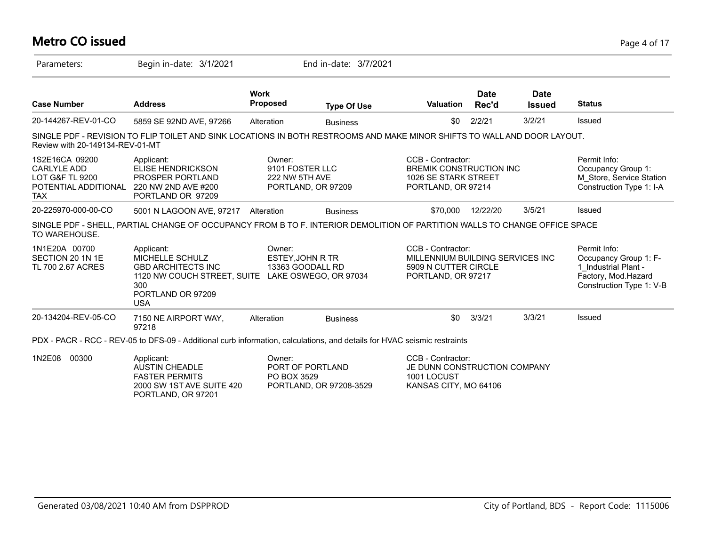#### **Metro CO issued** Page 4 of 17

| Parameters:                                                                                              | Begin in-date: 3/1/2021                                                                                                                                   |                                             | End in-date: 3/7/2021                       |                                                                                                     |                      |                              |                                                                                                                  |
|----------------------------------------------------------------------------------------------------------|-----------------------------------------------------------------------------------------------------------------------------------------------------------|---------------------------------------------|---------------------------------------------|-----------------------------------------------------------------------------------------------------|----------------------|------------------------------|------------------------------------------------------------------------------------------------------------------|
| <b>Case Number</b>                                                                                       | <b>Address</b>                                                                                                                                            | <b>Work</b><br><b>Proposed</b>              | <b>Type Of Use</b>                          | <b>Valuation</b>                                                                                    | <b>Date</b><br>Rec'd | <b>Date</b><br><b>Issued</b> | <b>Status</b>                                                                                                    |
| 20-144267-REV-01-CO                                                                                      | 5859 SE 92ND AVE, 97266                                                                                                                                   | Alteration                                  | <b>Business</b>                             | \$0                                                                                                 | 2/2/21               | 3/2/21                       | Issued                                                                                                           |
| Review with 20-149134-REV-01-MT                                                                          | SINGLE PDF - REVISION TO FLIP TOILET AND SINK LOCATIONS IN BOTH RESTROOMS AND MAKE MINOR SHIFTS TO WALL AND DOOR LAYOUT.                                  |                                             |                                             |                                                                                                     |                      |                              |                                                                                                                  |
| 1S2E16CA 09200<br><b>CARLYLE ADD</b><br><b>LOT G&amp;F TL 9200</b><br>POTENTIAL ADDITIONAL<br><b>TAX</b> | Applicant:<br>ELISE HENDRICKSON<br>PROSPER PORTLAND<br>220 NW 2ND AVE #200<br>PORTLAND OR 97209                                                           | Owner:<br>9101 FOSTER LLC<br>222 NW 5TH AVE | PORTLAND, OR 97209                          | CCB - Contractor:<br><b>BREMIK CONSTRUCTION INC</b><br>1026 SE STARK STREET<br>PORTLAND, OR 97214   |                      |                              | Permit Info:<br>Occupancy Group 1:<br>M_Store, Service Station<br>Construction Type 1: I-A                       |
| 20-225970-000-00-CO                                                                                      | 5001 N LAGOON AVE, 97217 Alteration                                                                                                                       |                                             | <b>Business</b>                             | \$70.000                                                                                            | 12/22/20             | 3/5/21                       | Issued                                                                                                           |
| TO WAREHOUSE.                                                                                            | SINGLE PDF - SHELL, PARTIAL CHANGE OF OCCUPANCY FROM B TO F. INTERIOR DEMOLITION OF PARTITION WALLS TO CHANGE OFFICE SPACE                                |                                             |                                             |                                                                                                     |                      |                              |                                                                                                                  |
| 1N1E20A 00700<br>SECTION 20 1N 1E<br>TL 700 2.67 ACRES                                                   | Applicant:<br>MICHELLE SCHULZ<br><b>GBD ARCHITECTS INC</b><br>1120 NW COUCH STREET, SUITE LAKE OSWEGO, OR 97034<br>300<br>PORTLAND OR 97209<br><b>USA</b> | Owner:<br>ESTEY, JOHN R TR                  | 13363 GOODALL RD                            | CCB - Contractor:<br>MILLENNIUM BUILDING SERVICES INC<br>5909 N CUTTER CIRCLE<br>PORTLAND, OR 97217 |                      |                              | Permit Info:<br>Occupancy Group 1: F-<br>1 Industrial Plant -<br>Factory, Mod.Hazard<br>Construction Type 1: V-B |
| 20-134204-REV-05-CO                                                                                      | 7150 NE AIRPORT WAY,<br>97218                                                                                                                             | Alteration                                  | <b>Business</b>                             | \$0                                                                                                 | 3/3/21               | 3/3/21                       | Issued                                                                                                           |
|                                                                                                          | PDX - PACR - RCC - REV-05 to DFS-09 - Additional curb information, calculations, and details for HVAC seismic restraints                                  |                                             |                                             |                                                                                                     |                      |                              |                                                                                                                  |
| 1N2E08<br>00300                                                                                          | Applicant:<br><b>AUSTIN CHEADLE</b><br><b>FASTER PERMITS</b><br>2000 SW 1ST AVE SUITE 420<br>PORTLAND, OR 97201                                           | Owner:<br>PO BOX 3529                       | PORT OF PORTLAND<br>PORTLAND, OR 97208-3529 | CCB - Contractor:<br>JE DUNN CONSTRUCTION COMPANY<br>1001 LOCUST<br>KANSAS CITY, MO 64106           |                      |                              |                                                                                                                  |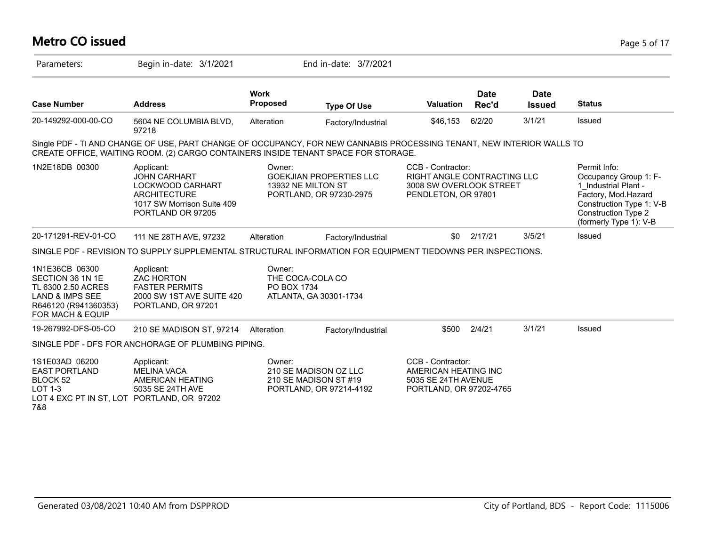# **Metro CO issued** Page 5 of 17

| Parameters:                                                                                                                        | Begin in-date: 3/1/2021                                                                                                                                                                                      |                                           | End in-date: 3/7/2021                                                     |                                                                                                           |                      |                              |                                                                                                                                                                          |
|------------------------------------------------------------------------------------------------------------------------------------|--------------------------------------------------------------------------------------------------------------------------------------------------------------------------------------------------------------|-------------------------------------------|---------------------------------------------------------------------------|-----------------------------------------------------------------------------------------------------------|----------------------|------------------------------|--------------------------------------------------------------------------------------------------------------------------------------------------------------------------|
| <b>Case Number</b>                                                                                                                 | <b>Address</b>                                                                                                                                                                                               | <b>Work</b><br><b>Proposed</b>            | <b>Type Of Use</b>                                                        | <b>Valuation</b>                                                                                          | <b>Date</b><br>Rec'd | <b>Date</b><br><b>Issued</b> | <b>Status</b>                                                                                                                                                            |
| 20-149292-000-00-CO                                                                                                                | 5604 NE COLUMBIA BLVD,<br>97218                                                                                                                                                                              | Alteration                                | Factory/Industrial                                                        | \$46,153                                                                                                  | 6/2/20               | 3/1/21                       | Issued                                                                                                                                                                   |
|                                                                                                                                    | Single PDF - TI AND CHANGE OF USE, PART CHANGE OF OCCUPANCY, FOR NEW CANNABIS PROCESSING TENANT, NEW INTERIOR WALLS TO<br>CREATE OFFICE, WAITING ROOM. (2) CARGO CONTAINERS INSIDE TENANT SPACE FOR STORAGE. |                                           |                                                                           |                                                                                                           |                      |                              |                                                                                                                                                                          |
| 1N2E18DB 00300                                                                                                                     | Applicant:<br><b>JOHN CARHART</b><br>LOCKWOOD CARHART<br><b>ARCHITECTURE</b><br>1017 SW Morrison Suite 409<br>PORTLAND OR 97205                                                                              | Owner:<br>13932 NE MILTON ST              | <b>GOEKJIAN PROPERTIES LLC</b><br>PORTLAND, OR 97230-2975                 | CCB - Contractor:<br><b>RIGHT ANGLE CONTRACTING LLC</b><br>3008 SW OVERLOOK STREET<br>PENDLETON, OR 97801 |                      |                              | Permit Info:<br>Occupancy Group 1: F-<br>1 Industrial Plant -<br>Factory, Mod.Hazard<br>Construction Type 1: V-B<br><b>Construction Type 2</b><br>(formerly Type 1): V-B |
| 20-171291-REV-01-CO                                                                                                                | 111 NE 28TH AVE, 97232                                                                                                                                                                                       | Alteration                                | Factory/Industrial                                                        | \$0                                                                                                       | 2/17/21              | 3/5/21                       | Issued                                                                                                                                                                   |
|                                                                                                                                    | SINGLE PDF - REVISION TO SUPPLY SUPPLEMENTAL STRUCTURAL INFORMATION FOR EQUIPMENT TIEDOWNS PER INSPECTIONS.                                                                                                  |                                           |                                                                           |                                                                                                           |                      |                              |                                                                                                                                                                          |
| 1N1E36CB 06300<br>SECTION 36 1N 1E<br>TL 6300 2.50 ACRES<br><b>LAND &amp; IMPS SEE</b><br>R646120 (R941360353)<br>FOR MACH & EQUIP | Applicant:<br><b>ZAC HORTON</b><br><b>FASTER PERMITS</b><br>2000 SW 1ST AVE SUITE 420<br>PORTLAND, OR 97201                                                                                                  | Owner:<br>THE COCA-COLA CO<br>PO BOX 1734 | ATLANTA, GA 30301-1734                                                    |                                                                                                           |                      |                              |                                                                                                                                                                          |
| 19-267992-DFS-05-CO                                                                                                                | 210 SE MADISON ST, 97214                                                                                                                                                                                     | Alteration                                | Factory/Industrial                                                        | \$500                                                                                                     | 2/4/21               | 3/1/21                       | Issued                                                                                                                                                                   |
|                                                                                                                                    | SINGLE PDF - DFS FOR ANCHORAGE OF PLUMBING PIPING.                                                                                                                                                           |                                           |                                                                           |                                                                                                           |                      |                              |                                                                                                                                                                          |
| 1S1E03AD 06200<br><b>EAST PORTLAND</b><br>BLOCK 52<br>$LOT 1-3$<br>LOT 4 EXC PT IN ST, LOT PORTLAND, OR 97202<br>7&8               | Applicant:<br><b>MELINA VACA</b><br>AMERICAN HEATING<br>5035 SE 24TH AVE                                                                                                                                     | Owner:                                    | 210 SE MADISON OZ LLC<br>210 SE MADISON ST #19<br>PORTLAND, OR 97214-4192 | CCB - Contractor:<br>AMERICAN HEATING INC<br>5035 SE 24TH AVENUE<br>PORTLAND, OR 97202-4765               |                      |                              |                                                                                                                                                                          |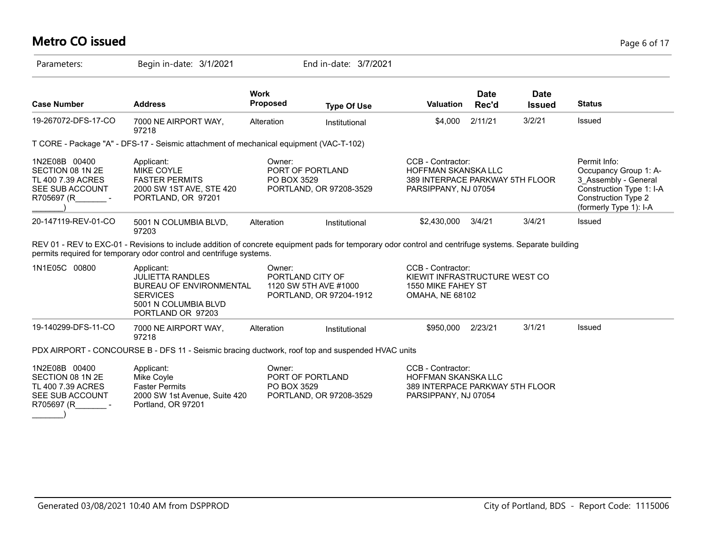# **Metro CO issued** Page 6 of 17

| Parameters:                                                                             | Begin in-date: 3/1/2021                                                                                                                                                                                                       |                                | End in-date: 3/7/2021                                                |                                                                                                            |                      |                              |                                                                                                                                                   |
|-----------------------------------------------------------------------------------------|-------------------------------------------------------------------------------------------------------------------------------------------------------------------------------------------------------------------------------|--------------------------------|----------------------------------------------------------------------|------------------------------------------------------------------------------------------------------------|----------------------|------------------------------|---------------------------------------------------------------------------------------------------------------------------------------------------|
| <b>Case Number</b>                                                                      | <b>Address</b>                                                                                                                                                                                                                | <b>Work</b><br><b>Proposed</b> | <b>Type Of Use</b>                                                   | <b>Valuation</b>                                                                                           | <b>Date</b><br>Rec'd | <b>Date</b><br><b>Issued</b> | <b>Status</b>                                                                                                                                     |
| 19-267072-DFS-17-CO                                                                     | 7000 NE AIRPORT WAY,<br>97218                                                                                                                                                                                                 | Alteration                     | Institutional                                                        | \$4,000                                                                                                    | 2/11/21              | 3/2/21                       | Issued                                                                                                                                            |
|                                                                                         | T CORE - Package "A" - DFS-17 - Seismic attachment of mechanical equipment (VAC-T-102)                                                                                                                                        |                                |                                                                      |                                                                                                            |                      |                              |                                                                                                                                                   |
| 1N2E08B 00400<br>SECTION 08 1N 2E<br>TL 400 7.39 ACRES<br>SEE SUB ACCOUNT<br>R705697 (R | Applicant:<br><b>MIKE COYLE</b><br><b>FASTER PERMITS</b><br>2000 SW 1ST AVE, STE 420<br>PORTLAND, OR 97201                                                                                                                    | Owner:<br>PO BOX 3529          | PORT OF PORTLAND<br>PORTLAND, OR 97208-3529                          | CCB - Contractor:<br>HOFFMAN SKANSKA LLC<br>389 INTERPACE PARKWAY 5TH FLOOR<br>PARSIPPANY, NJ 07054        |                      |                              | Permit Info:<br>Occupancy Group 1: A-<br>3 Assembly - General<br>Construction Type 1: I-A<br><b>Construction Type 2</b><br>(formerly Type 1): I-A |
| 20-147119-REV-01-CO                                                                     | 5001 N COLUMBIA BLVD,<br>97203                                                                                                                                                                                                | Alteration                     | Institutional                                                        | \$2,430,000                                                                                                | 3/4/21               | 3/4/21                       | Issued                                                                                                                                            |
|                                                                                         | REV 01 - REV to EXC-01 - Revisions to include addition of concrete equipment pads for temporary odor control and centrifuge systems. Separate building<br>permits required for temporary odor control and centrifuge systems. |                                |                                                                      |                                                                                                            |                      |                              |                                                                                                                                                   |
| 1N1E05C 00800                                                                           | Applicant:<br><b>JULIETTA RANDLES</b><br><b>BUREAU OF ENVIRONMENTAL</b><br><b>SERVICES</b><br>5001 N COLUMBIA BLVD<br>PORTLAND OR 97203                                                                                       | Owner:                         | PORTLAND CITY OF<br>1120 SW 5TH AVE #1000<br>PORTLAND, OR 97204-1912 | CCB - Contractor:<br>KIEWIT INFRASTRUCTURE WEST CO<br>1550 MIKE FAHEY ST<br><b>OMAHA, NE 68102</b>         |                      |                              |                                                                                                                                                   |
| 19-140299-DFS-11-CO                                                                     | 7000 NE AIRPORT WAY,<br>97218                                                                                                                                                                                                 | Alteration                     | Institutional                                                        | \$950,000                                                                                                  | 2/23/21              | 3/1/21                       | Issued                                                                                                                                            |
|                                                                                         | PDX AIRPORT - CONCOURSE B - DFS 11 - Seismic bracing ductwork, roof top and suspended HVAC units                                                                                                                              |                                |                                                                      |                                                                                                            |                      |                              |                                                                                                                                                   |
| 1N2E08B 00400<br>SECTION 08 1N 2E<br>TL 400 7.39 ACRES<br>SEE SUB ACCOUNT<br>R705697 (R | Applicant:<br>Mike Coyle<br><b>Faster Permits</b><br>2000 SW 1st Avenue, Suite 420<br>Portland, OR 97201                                                                                                                      | Owner:<br>PO BOX 3529          | PORT OF PORTLAND<br>PORTLAND, OR 97208-3529                          | CCB - Contractor:<br><b>HOFFMAN SKANSKA LLC</b><br>389 INTERPACE PARKWAY 5TH FLOOR<br>PARSIPPANY, NJ 07054 |                      |                              |                                                                                                                                                   |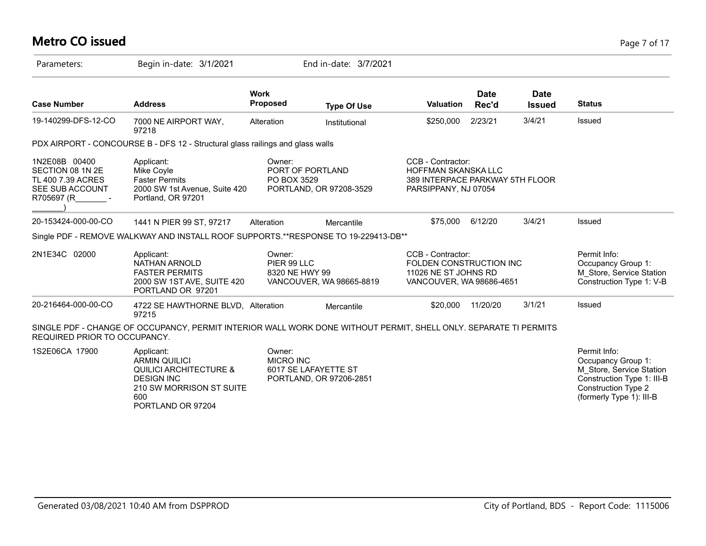# **Metro CO issued** Page 7 of 17

| Parameters:                                                                             | Begin in-date: 3/1/2021                                                                                                                              |                                                    | End in-date: 3/7/2021    |                                                                                                     |                      |                       |                                                                                                                                                        |
|-----------------------------------------------------------------------------------------|------------------------------------------------------------------------------------------------------------------------------------------------------|----------------------------------------------------|--------------------------|-----------------------------------------------------------------------------------------------------|----------------------|-----------------------|--------------------------------------------------------------------------------------------------------------------------------------------------------|
| <b>Case Number</b>                                                                      | <b>Address</b>                                                                                                                                       | <b>Work</b><br><b>Proposed</b>                     | <b>Type Of Use</b>       | <b>Valuation</b>                                                                                    | <b>Date</b><br>Rec'd | Date<br><b>Issued</b> | <b>Status</b>                                                                                                                                          |
| 19-140299-DFS-12-CO                                                                     | 7000 NE AIRPORT WAY,<br>97218                                                                                                                        | Alteration                                         | Institutional            | \$250,000                                                                                           | 2/23/21              | 3/4/21                | Issued                                                                                                                                                 |
|                                                                                         | PDX AIRPORT - CONCOURSE B - DFS 12 - Structural glass railings and glass walls                                                                       |                                                    |                          |                                                                                                     |                      |                       |                                                                                                                                                        |
| 1N2E08B 00400<br>SECTION 08 1N 2E<br>TL 400 7.39 ACRES<br>SEE SUB ACCOUNT<br>R705697 (R | Applicant:<br>Mike Coyle<br><b>Faster Permits</b><br>2000 SW 1st Avenue, Suite 420<br>Portland, OR 97201                                             | Owner:<br>PORT OF PORTLAND<br>PO BOX 3529          | PORTLAND, OR 97208-3529  | CCB - Contractor:<br>HOFFMAN SKANSKA LLC<br>389 INTERPACE PARKWAY 5TH FLOOR<br>PARSIPPANY, NJ 07054 |                      |                       |                                                                                                                                                        |
| 20-153424-000-00-CO                                                                     | 1441 N PIER 99 ST, 97217                                                                                                                             | Alteration                                         | Mercantile               | \$75,000                                                                                            | 6/12/20              | 3/4/21                | Issued                                                                                                                                                 |
|                                                                                         | Single PDF - REMOVE WALKWAY AND INSTALL ROOF SUPPORTS.**RESPONSE TO 19-229413-DB**                                                                   |                                                    |                          |                                                                                                     |                      |                       |                                                                                                                                                        |
| 2N1E34C 02000                                                                           | Applicant:<br><b>NATHAN ARNOLD</b><br><b>FASTER PERMITS</b><br>2000 SW 1ST AVE, SUITE 420<br>PORTLAND OR 97201                                       | Owner:<br>PIER 99 LLC<br>8320 NE HWY 99            | VANCOUVER, WA 98665-8819 | CCB - Contractor:<br>FOLDEN CONSTRUCTION INC<br>11026 NE ST JOHNS RD<br>VANCOUVER, WA 98686-4651    |                      |                       | Permit Info:<br>Occupancy Group 1:<br>M_Store, Service Station<br>Construction Type 1: V-B                                                             |
| 20-216464-000-00-CO                                                                     | 4722 SE HAWTHORNE BLVD, Alteration<br>97215                                                                                                          |                                                    | Mercantile               | \$20,000                                                                                            | 11/20/20             | 3/1/21                | Issued                                                                                                                                                 |
| REQUIRED PRIOR TO OCCUPANCY.                                                            | SINGLE PDF - CHANGE OF OCCUPANCY, PERMIT INTERIOR WALL WORK DONE WITHOUT PERMIT, SHELL ONLY. SEPARATE TI PERMITS                                     |                                                    |                          |                                                                                                     |                      |                       |                                                                                                                                                        |
| 1S2E06CA 17900                                                                          | Applicant:<br><b>ARMIN QUILICI</b><br><b>QUILICI ARCHITECTURE &amp;</b><br><b>DESIGN INC</b><br>210 SW MORRISON ST SUITE<br>600<br>PORTLAND OR 97204 | Owner:<br><b>MICRO INC</b><br>6017 SE LAFAYETTE ST | PORTLAND, OR 97206-2851  |                                                                                                     |                      |                       | Permit Info:<br>Occupancy Group 1:<br>M Store, Service Station<br>Construction Type 1: III-B<br><b>Construction Type 2</b><br>(formerly Type 1): III-B |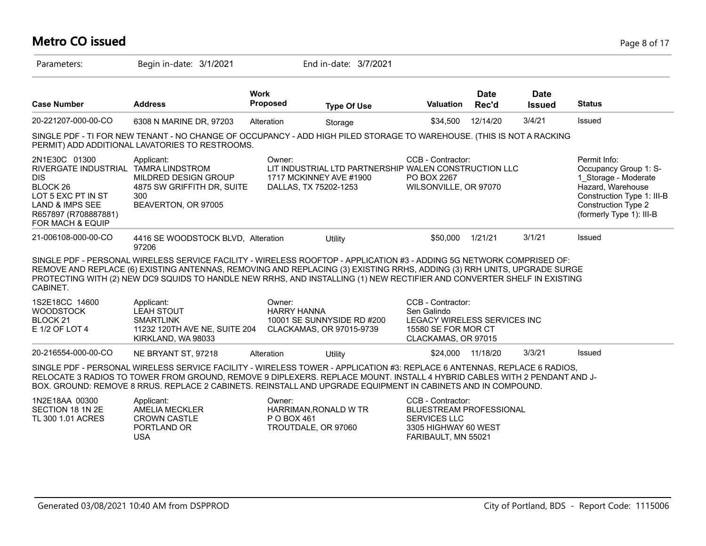# **Metro CO issued** Page 8 of 17

| Parameters:                                                                                                                                                                                | Begin in-date: 3/1/2021                                                                                                                                                                                                                                                                                                                                                     |                              | End in-date: 3/7/2021                                                                                     |                                                                                                                    |                      |                              |                                                                                                                                                                     |
|--------------------------------------------------------------------------------------------------------------------------------------------------------------------------------------------|-----------------------------------------------------------------------------------------------------------------------------------------------------------------------------------------------------------------------------------------------------------------------------------------------------------------------------------------------------------------------------|------------------------------|-----------------------------------------------------------------------------------------------------------|--------------------------------------------------------------------------------------------------------------------|----------------------|------------------------------|---------------------------------------------------------------------------------------------------------------------------------------------------------------------|
| <b>Case Number</b>                                                                                                                                                                         | <b>Address</b>                                                                                                                                                                                                                                                                                                                                                              | <b>Work</b><br>Proposed      | <b>Type Of Use</b>                                                                                        | Valuation                                                                                                          | <b>Date</b><br>Rec'd | <b>Date</b><br><b>Issued</b> | <b>Status</b>                                                                                                                                                       |
| 20-221207-000-00-CO                                                                                                                                                                        | 6308 N MARINE DR, 97203                                                                                                                                                                                                                                                                                                                                                     | Alteration                   | Storage                                                                                                   | \$34,500                                                                                                           | 12/14/20             | 3/4/21                       | Issued                                                                                                                                                              |
|                                                                                                                                                                                            | SINGLE PDF - TI FOR NEW TENANT - NO CHANGE OF OCCUPANCY - ADD HIGH PILED STORAGE TO WAREHOUSE. (THIS IS NOT A RACKING<br>PERMIT) ADD ADDITIONAL LAVATORIES TO RESTROOMS.                                                                                                                                                                                                    |                              |                                                                                                           |                                                                                                                    |                      |                              |                                                                                                                                                                     |
| 2N1E30C 01300<br>RIVERGATE INDUSTRIAL TAMRA LINDSTROM<br><b>DIS</b><br>BLOCK 26<br>LOT 5 EXC PT IN ST<br><b>LAND &amp; IMPS SEE</b><br>R657897 (R708887881)<br><b>FOR MACH &amp; EQUIP</b> | Applicant:<br>MILDRED DESIGN GROUP<br>4875 SW GRIFFITH DR, SUITE<br>300<br>BEAVERTON, OR 97005                                                                                                                                                                                                                                                                              | Owner:                       | LIT INDUSTRIAL LTD PARTNERSHIP WALEN CONSTRUCTION LLC<br>1717 MCKINNEY AVE #1900<br>DALLAS, TX 75202-1253 | CCB - Contractor:<br>PO BOX 2267<br>WILSONVILLE, OR 97070                                                          |                      |                              | Permit Info:<br>Occupancy Group 1: S-<br>1 Storage - Moderate<br>Hazard, Warehouse<br>Construction Type 1: III-B<br>Construction Type 2<br>(formerly Type 1): III-B |
| 21-006108-000-00-CO                                                                                                                                                                        | 4416 SE WOODSTOCK BLVD, Alteration<br>97206                                                                                                                                                                                                                                                                                                                                 |                              | Utility                                                                                                   | \$50,000                                                                                                           | 1/21/21              | 3/1/21                       | Issued                                                                                                                                                              |
| CABINET.                                                                                                                                                                                   | SINGLE PDF - PERSONAL WIRELESS SERVICE FACILITY - WIRELESS ROOFTOP - APPLICATION #3 - ADDING 5G NETWORK COMPRISED OF:<br>REMOVE AND REPLACE (6) EXISTING ANTENNAS, REMOVING AND REPLACING (3) EXISTING RRHS, ADDING (3) RRH UNITS, UPGRADE SURGE<br>PROTECTING WITH (2) NEW DC9 SQUIDS TO HANDLE NEW RRHS, AND INSTALLING (1) NEW RECTIFIER AND CONVERTER SHELF IN EXISTING |                              |                                                                                                           |                                                                                                                    |                      |                              |                                                                                                                                                                     |
| 1S2E18CC 14600<br><b>WOODSTOCK</b><br>BLOCK <sub>21</sub><br>E 1/2 OF LOT 4                                                                                                                | Applicant:<br><b>LEAH STOUT</b><br><b>SMARTLINK</b><br>11232 120TH AVE NE, SUITE 204<br>KIRKLAND, WA 98033                                                                                                                                                                                                                                                                  | Owner:<br><b>HARRY HANNA</b> | 10001 SE SUNNYSIDE RD #200<br>CLACKAMAS, OR 97015-9739                                                    | CCB - Contractor:<br>Sen Galindo<br>LEGACY WIRELESS SERVICES INC<br>15580 SE FOR MOR CT<br>CLACKAMAS, OR 97015     |                      |                              |                                                                                                                                                                     |
| 20-216554-000-00-CO                                                                                                                                                                        | NE BRYANT ST, 97218                                                                                                                                                                                                                                                                                                                                                         | Alteration                   | Utility                                                                                                   | \$24,000                                                                                                           | 11/18/20             | 3/3/21                       | Issued                                                                                                                                                              |
|                                                                                                                                                                                            | SINGLE PDF - PERSONAL WIRELESS SERVICE FACILITY - WIRELESS TOWER - APPLICATION #3: REPLACE 6 ANTENNAS, REPLACE 6 RADIOS,<br>RELOCATE 3 RADIOS TO TOWER FROM GROUND, REMOVE 9 DIPLEXERS. REPLACE MOUNT. INSTALL 4 HYBRID CABLES WITH 2 PENDANT AND J-<br>BOX. GROUND: REMOVE 8 RRUS. REPLACE 2 CABINETS. REINSTALL AND UPGRADE EQUIPMENT IN CABINETS AND IN COMPOUND.        |                              |                                                                                                           |                                                                                                                    |                      |                              |                                                                                                                                                                     |
| 1N2E18AA 00300<br>SECTION 18 1N 2E<br>TL 300 1.01 ACRES                                                                                                                                    | Applicant:<br><b>AMELIA MECKLER</b><br><b>CROWN CASTLE</b><br>PORTLAND OR<br><b>USA</b>                                                                                                                                                                                                                                                                                     | Owner:<br>P O BOX 461        | HARRIMAN, RONALD W TR<br>TROUTDALE, OR 97060                                                              | CCB - Contractor:<br>BLUESTREAM PROFESSIONAL<br><b>SERVICES LLC</b><br>3305 HIGHWAY 60 WEST<br>FARIBAULT, MN 55021 |                      |                              |                                                                                                                                                                     |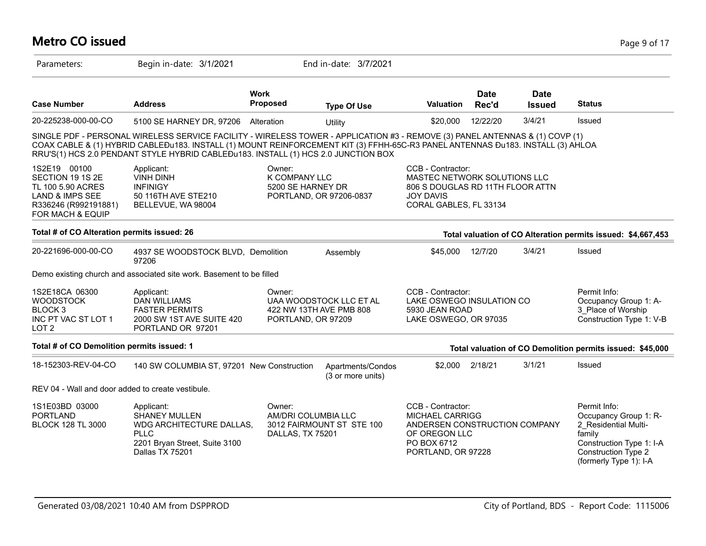# **Metro CO issued** Page 9 of 17

| Parameters:                                                                                                                     | Begin in-date: 3/1/2021                                                                                                                                                                                                                                                                                                                               |                                                   | End in-date: 3/7/2021                              |                                                                                                                                    |                      |                              |                                                                                                                                                             |
|---------------------------------------------------------------------------------------------------------------------------------|-------------------------------------------------------------------------------------------------------------------------------------------------------------------------------------------------------------------------------------------------------------------------------------------------------------------------------------------------------|---------------------------------------------------|----------------------------------------------------|------------------------------------------------------------------------------------------------------------------------------------|----------------------|------------------------------|-------------------------------------------------------------------------------------------------------------------------------------------------------------|
| <b>Case Number</b>                                                                                                              | <b>Address</b>                                                                                                                                                                                                                                                                                                                                        | <b>Work</b><br>Proposed                           | <b>Type Of Use</b>                                 | <b>Valuation</b>                                                                                                                   | <b>Date</b><br>Rec'd | <b>Date</b><br><b>Issued</b> | <b>Status</b>                                                                                                                                               |
| 20-225238-000-00-CO                                                                                                             | 5100 SE HARNEY DR, 97206                                                                                                                                                                                                                                                                                                                              | Alteration                                        | Utility                                            | \$20,000                                                                                                                           | 12/22/20             | 3/4/21                       | Issued                                                                                                                                                      |
|                                                                                                                                 | SINGLE PDF - PERSONAL WIRELESS SERVICE FACILITY - WIRELESS TOWER - APPLICATION #3 - REMOVE (3) PANEL ANTENNAS & (1) COVP (1)<br>COAX CABLE & (1) HYBRID CABLEĐu183. INSTALL (1) MOUNT REINFORCEMENT KIT (3) FFHH-65C-R3 PANEL ANTENNAS ĐU183. INSTALL (3) AHLOA<br>RRU'S(1) HCS 2.0 PENDANT STYLE HYBRID CABLEĐu183. INSTALL (1) HCS 2.0 JUNCTION BOX |                                                   |                                                    |                                                                                                                                    |                      |                              |                                                                                                                                                             |
| 1S2E19 00100<br>SECTION 19 1S 2E<br>TL 100 5.90 ACRES<br><b>LAND &amp; IMPS SEE</b><br>R336246 (R992191881)<br>FOR MACH & EQUIP | Applicant:<br><b>VINH DINH</b><br><b>INFINIGY</b><br>50 116TH AVE STE210<br>BELLEVUE, WA 98004                                                                                                                                                                                                                                                        | Owner:<br>K COMPANY LLC<br>5200 SE HARNEY DR      | PORTLAND, OR 97206-0837                            | CCB - Contractor:<br>MASTEC NETWORK SOLUTIONS LLC<br>806 S DOUGLAS RD 11TH FLOOR ATTN<br>JOY DAVIS<br>CORAL GABLES, FL 33134       |                      |                              |                                                                                                                                                             |
| Total # of CO Alteration permits issued: 26                                                                                     |                                                                                                                                                                                                                                                                                                                                                       |                                                   |                                                    |                                                                                                                                    |                      |                              | Total valuation of CO Alteration permits issued: \$4,667,453                                                                                                |
| 20-221696-000-00-CO                                                                                                             | 4937 SE WOODSTOCK BLVD, Demolition<br>97206                                                                                                                                                                                                                                                                                                           |                                                   | Assembly                                           | \$45,000                                                                                                                           | 12/7/20              | 3/4/21                       | Issued                                                                                                                                                      |
|                                                                                                                                 | Demo existing church and associated site work. Basement to be filled                                                                                                                                                                                                                                                                                  |                                                   |                                                    |                                                                                                                                    |                      |                              |                                                                                                                                                             |
| 1S2E18CA 06300<br><b>WOODSTOCK</b><br>BLOCK <sub>3</sub><br>INC PT VAC ST LOT 1<br>LOT <sub>2</sub>                             | Applicant:<br><b>DAN WILLIAMS</b><br><b>FASTER PERMITS</b><br>2000 SW 1ST AVE SUITE 420<br>PORTLAND OR 97201                                                                                                                                                                                                                                          | Owner:<br>PORTLAND, OR 97209                      | UAA WOODSTOCK LLC ET AL<br>422 NW 13TH AVE PMB 808 | CCB - Contractor:<br>LAKE OSWEGO INSULATION CO<br>5930 JEAN ROAD<br>LAKE OSWEGO, OR 97035                                          |                      |                              | Permit Info:<br>Occupancy Group 1: A-<br>3 Place of Worship<br>Construction Type 1: V-B                                                                     |
| Total # of CO Demolition permits issued: 1                                                                                      |                                                                                                                                                                                                                                                                                                                                                       |                                                   |                                                    |                                                                                                                                    |                      |                              | Total valuation of CO Demolition permits issued: \$45,000                                                                                                   |
| 18-152303-REV-04-CO                                                                                                             | 140 SW COLUMBIA ST, 97201 New Construction                                                                                                                                                                                                                                                                                                            |                                                   | Apartments/Condos<br>(3 or more units)             | \$2,000                                                                                                                            | 2/18/21              | 3/1/21                       | Issued                                                                                                                                                      |
| REV 04 - Wall and door added to create vestibule.                                                                               |                                                                                                                                                                                                                                                                                                                                                       |                                                   |                                                    |                                                                                                                                    |                      |                              |                                                                                                                                                             |
| 1S1E03BD 03000<br><b>PORTLAND</b><br><b>BLOCK 128 TL 3000</b>                                                                   | Applicant:<br><b>SHANEY MULLEN</b><br>WDG ARCHITECTURE DALLAS,<br><b>PLLC</b><br>2201 Bryan Street, Suite 3100<br>Dallas TX 75201                                                                                                                                                                                                                     | Owner:<br>AM/DRI COLUMBIA LLC<br>DALLAS, TX 75201 | 3012 FAIRMOUNT ST STE 100                          | CCB - Contractor:<br><b>MICHAEL CARRIGG</b><br>ANDERSEN CONSTRUCTION COMPANY<br>OF OREGON LLC<br>PO BOX 6712<br>PORTLAND, OR 97228 |                      |                              | Permit Info:<br>Occupancy Group 1: R-<br>2 Residential Multi-<br>family<br>Construction Type 1: I-A<br><b>Construction Type 2</b><br>(formerly Type 1): I-A |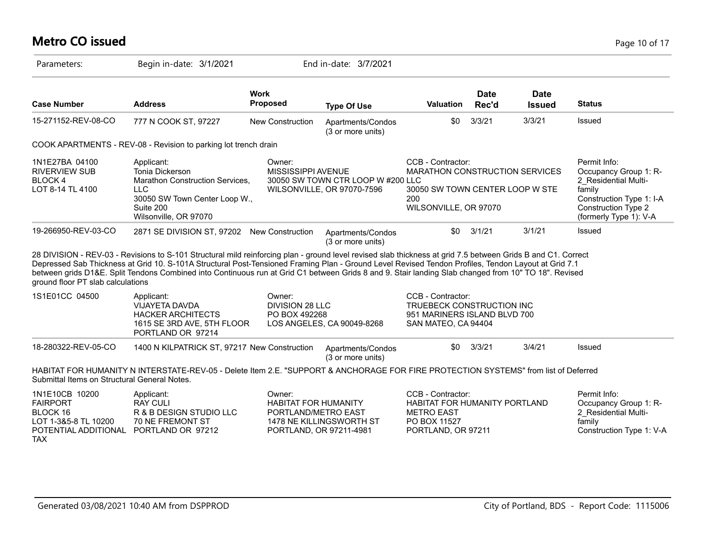# **Metro CO issued** Page 10 of 17

| Parameters:                                                                                   | Begin in-date: 3/1/2021                                                                                                                                                                                                                                                                                                                                                                                                                                                     |                                                                                         | End in-date: 3/7/2021                                           |                                                                                                                        |                      |                              |                                                                                                                                                             |
|-----------------------------------------------------------------------------------------------|-----------------------------------------------------------------------------------------------------------------------------------------------------------------------------------------------------------------------------------------------------------------------------------------------------------------------------------------------------------------------------------------------------------------------------------------------------------------------------|-----------------------------------------------------------------------------------------|-----------------------------------------------------------------|------------------------------------------------------------------------------------------------------------------------|----------------------|------------------------------|-------------------------------------------------------------------------------------------------------------------------------------------------------------|
| <b>Case Number</b>                                                                            | <b>Address</b>                                                                                                                                                                                                                                                                                                                                                                                                                                                              | <b>Work</b><br><b>Proposed</b>                                                          | <b>Type Of Use</b>                                              | <b>Valuation</b>                                                                                                       | <b>Date</b><br>Rec'd | <b>Date</b><br><b>Issued</b> | <b>Status</b>                                                                                                                                               |
| 15-271152-REV-08-CO                                                                           | 777 N COOK ST, 97227                                                                                                                                                                                                                                                                                                                                                                                                                                                        | <b>New Construction</b>                                                                 | Apartments/Condos<br>(3 or more units)                          | \$0                                                                                                                    | 3/3/21               | 3/3/21                       | <b>Issued</b>                                                                                                                                               |
|                                                                                               | COOK APARTMENTS - REV-08 - Revision to parking lot trench drain                                                                                                                                                                                                                                                                                                                                                                                                             |                                                                                         |                                                                 |                                                                                                                        |                      |                              |                                                                                                                                                             |
| 1N1E27BA 04100<br><b>RIVERVIEW SUB</b><br><b>BLOCK4</b><br>LOT 8-14 TL 4100                   | Applicant:<br>Tonia Dickerson<br>Marathon Construction Services,<br><b>LLC</b><br>30050 SW Town Center Loop W.,<br>Suite 200<br>Wilsonville, OR 97070                                                                                                                                                                                                                                                                                                                       | Owner:<br>MISSISSIPPI AVENUE                                                            | 30050 SW TOWN CTR LOOP W #200 LLC<br>WILSONVILLE, OR 97070-7596 | CCB - Contractor:<br>MARATHON CONSTRUCTION SERVICES<br>30050 SW TOWN CENTER LOOP W STE<br>200<br>WILSONVILLE, OR 97070 |                      |                              | Permit Info:<br>Occupancy Group 1: R-<br>2 Residential Multi-<br>family<br>Construction Type 1: I-A<br><b>Construction Type 2</b><br>(formerly Type 1): V-A |
| 19-266950-REV-03-CO                                                                           | 2871 SE DIVISION ST, 97202 New Construction                                                                                                                                                                                                                                                                                                                                                                                                                                 |                                                                                         | Apartments/Condos<br>(3 or more units)                          | \$0                                                                                                                    | 3/1/21               | 3/1/21                       | Issued                                                                                                                                                      |
| ground floor PT slab calculations                                                             | 28 DIVISION - REV-03 - Revisions to S-101 Structural mild reinforcing plan - ground level revised slab thickness at grid 7.5 between Grids B and C1. Correct<br>Depressed Sab Thickness at Grid 10. S-101A Structural Post-Tensioned Framing Plan - Ground Level Revised Tendon Profiles, Tendon Layout at Grid 7.1<br>between grids D1&E. Split Tendons Combined into Continuous run at Grid C1 between Grids 8 and 9. Stair landing Slab changed from 10" TO 18". Revised |                                                                                         |                                                                 |                                                                                                                        |                      |                              |                                                                                                                                                             |
| 1S1E01CC 04500                                                                                | Applicant:<br><b>VIJAYETA DAVDA</b><br><b>HACKER ARCHITECTS</b><br>1615 SE 3RD AVE, 5TH FLOOR<br>PORTLAND OR 97214                                                                                                                                                                                                                                                                                                                                                          | Owner:<br>DIVISION 28 LLC<br>PO BOX 492268                                              | LOS ANGELES, CA 90049-8268                                      | CCB - Contractor:<br>TRUEBECK CONSTRUCTION INC<br>951 MARINERS ISLAND BLVD 700<br>SAN MATEO, CA 94404                  |                      |                              |                                                                                                                                                             |
| 18-280322-REV-05-CO                                                                           | 1400 N KILPATRICK ST, 97217 New Construction                                                                                                                                                                                                                                                                                                                                                                                                                                |                                                                                         | Apartments/Condos<br>(3 or more units)                          | \$0                                                                                                                    | 3/3/21               | 3/4/21                       | Issued                                                                                                                                                      |
| Submittal Items on Structural General Notes.                                                  | HABITAT FOR HUMANITY N INTERSTATE-REV-05 - Delete Item 2.E. "SUPPORT & ANCHORAGE FOR FIRE PROTECTION SYSTEMS" from list of Deferred                                                                                                                                                                                                                                                                                                                                         |                                                                                         |                                                                 |                                                                                                                        |                      |                              |                                                                                                                                                             |
| 1N1E10CB 10200<br><b>FAIRPORT</b><br>BLOCK 16<br>LOT 1-3&5-8 TL 10200<br>POTENTIAL ADDITIONAL | Applicant:<br><b>RAY CULI</b><br>R & B DESIGN STUDIO LLC<br><b>70 NE FREMONT ST</b><br>PORTLAND OR 97212                                                                                                                                                                                                                                                                                                                                                                    | Owner:<br><b>HABITAT FOR HUMANITY</b><br>PORTLAND/METRO EAST<br>PORTLAND, OR 97211-4981 | 1478 NE KILLINGSWORTH ST                                        | CCB - Contractor:<br>HABITAT FOR HUMANITY PORTLAND<br><b>METRO EAST</b><br>PO BOX 11527<br>PORTLAND, OR 97211          |                      |                              | Permit Info:<br>Occupancy Group 1: R-<br>2 Residential Multi-<br>family<br>Construction Type 1: V-A                                                         |

TAX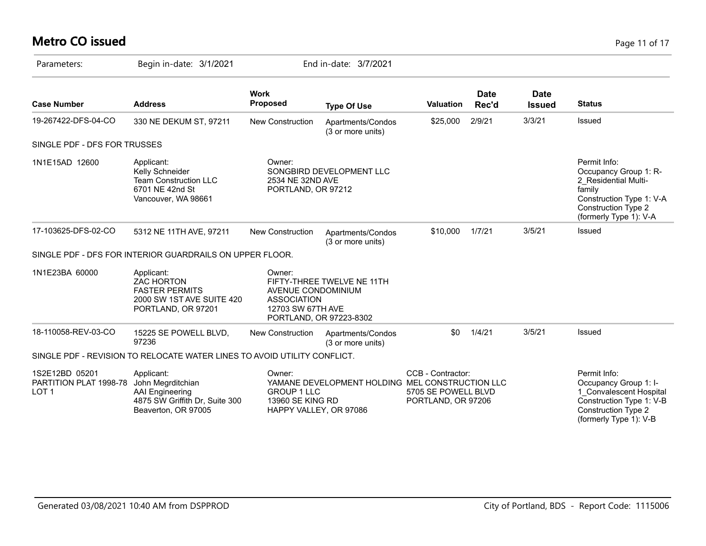# **Metro CO issued** Page 11 of 17

| Parameters:                                                  | Begin in-date: 3/1/2021                                                                                     |                                                                            | End in-date: 3/7/2021                                 |                                                                |                      |                              |                                                                                                                                                             |
|--------------------------------------------------------------|-------------------------------------------------------------------------------------------------------------|----------------------------------------------------------------------------|-------------------------------------------------------|----------------------------------------------------------------|----------------------|------------------------------|-------------------------------------------------------------------------------------------------------------------------------------------------------------|
| <b>Case Number</b>                                           | <b>Address</b>                                                                                              | <b>Work</b><br><b>Proposed</b>                                             | <b>Type Of Use</b>                                    | <b>Valuation</b>                                               | <b>Date</b><br>Rec'd | <b>Date</b><br><b>Issued</b> | <b>Status</b>                                                                                                                                               |
| 19-267422-DFS-04-CO                                          | 330 NE DEKUM ST, 97211                                                                                      | New Construction                                                           | Apartments/Condos<br>(3 or more units)                | \$25,000                                                       | 2/9/21               | 3/3/21                       | Issued                                                                                                                                                      |
| SINGLE PDF - DFS FOR TRUSSES                                 |                                                                                                             |                                                                            |                                                       |                                                                |                      |                              |                                                                                                                                                             |
| 1N1E15AD 12600                                               | Applicant:<br>Kelly Schneider<br><b>Team Construction LLC</b><br>6701 NE 42nd St<br>Vancouver, WA 98661     | Owner:<br>2534 NE 32ND AVE<br>PORTLAND, OR 97212                           | SONGBIRD DEVELOPMENT LLC                              |                                                                |                      |                              | Permit Info:<br>Occupancy Group 1: R-<br>2 Residential Multi-<br>family<br>Construction Type 1: V-A<br><b>Construction Type 2</b><br>(formerly Type 1): V-A |
| 17-103625-DFS-02-CO                                          | 5312 NE 11TH AVE, 97211                                                                                     | <b>New Construction</b>                                                    | Apartments/Condos<br>(3 or more units)                | \$10,000                                                       | 1/7/21               | 3/5/21                       | Issued                                                                                                                                                      |
|                                                              | SINGLE PDF - DFS FOR INTERIOR GUARDRAILS ON UPPER FLOOR.                                                    |                                                                            |                                                       |                                                                |                      |                              |                                                                                                                                                             |
| 1N1E23BA 60000                                               | Applicant:<br><b>ZAC HORTON</b><br><b>FASTER PERMITS</b><br>2000 SW 1ST AVE SUITE 420<br>PORTLAND, OR 97201 | Owner:<br>AVENUE CONDOMINIUM<br><b>ASSOCIATION</b><br>12703 SW 67TH AVE    | FIFTY-THREE TWELVE NE 11TH<br>PORTLAND, OR 97223-8302 |                                                                |                      |                              |                                                                                                                                                             |
| 18-110058-REV-03-CO                                          | 15225 SE POWELL BLVD,<br>97236                                                                              | New Construction                                                           | Apartments/Condos<br>(3 or more units)                | \$0                                                            | 1/4/21               | 3/5/21                       | Issued                                                                                                                                                      |
|                                                              | SINGLE PDF - REVISION TO RELOCATE WATER LINES TO AVOID UTILITY CONFLICT.                                    |                                                                            |                                                       |                                                                |                      |                              |                                                                                                                                                             |
| 1S2E12BD 05201<br>PARTITION PLAT 1998-78<br>LOT <sub>1</sub> | Applicant:<br>John Megrditchian<br>AAI Engineering<br>4875 SW Griffith Dr, Suite 300<br>Beaverton, OR 97005 | Owner:<br><b>GROUP 1 LLC</b><br>13960 SE KING RD<br>HAPPY VALLEY, OR 97086 | YAMANE DEVELOPMENT HOLDING MEL CONSTRUCTION LLC       | CCB - Contractor:<br>5705 SE POWELL BLVD<br>PORTLAND, OR 97206 |                      |                              | Permit Info:<br>Occupancy Group 1: I-<br>1 Convalescent Hospital<br>Construction Type 1: V-B<br>Construction Type 2<br>(formerly Type 1): V-B               |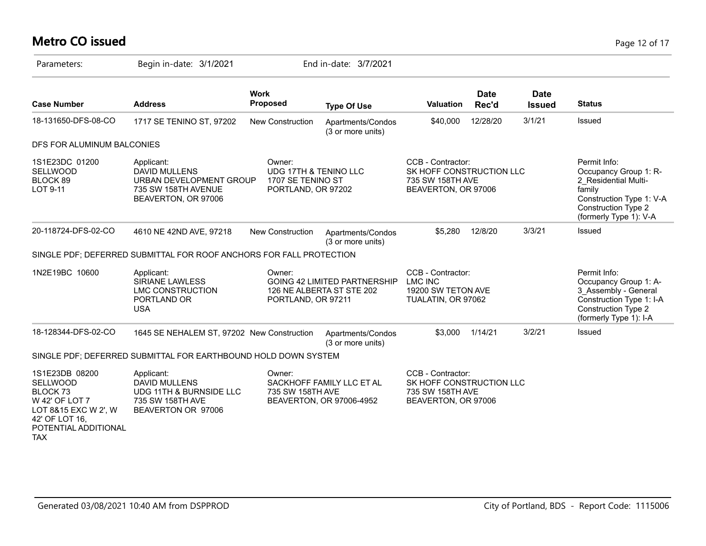# **Metro CO issued** Page 12 of 17

| Parameters:                                                                                                                                         | Begin in-date: 3/1/2021                                                                                 |                                                                            | End in-date: 3/7/2021                                            |                                                                                          |                      |                              |                                                                                                                                                      |
|-----------------------------------------------------------------------------------------------------------------------------------------------------|---------------------------------------------------------------------------------------------------------|----------------------------------------------------------------------------|------------------------------------------------------------------|------------------------------------------------------------------------------------------|----------------------|------------------------------|------------------------------------------------------------------------------------------------------------------------------------------------------|
| <b>Case Number</b>                                                                                                                                  | <b>Address</b>                                                                                          | <b>Work</b><br><b>Proposed</b>                                             | <b>Type Of Use</b>                                               | Valuation                                                                                | <b>Date</b><br>Rec'd | <b>Date</b><br><b>Issued</b> | <b>Status</b>                                                                                                                                        |
| 18-131650-DFS-08-CO                                                                                                                                 | 1717 SE TENINO ST, 97202                                                                                | New Construction                                                           | Apartments/Condos<br>(3 or more units)                           | \$40,000                                                                                 | 12/28/20             | 3/1/21                       | <b>Issued</b>                                                                                                                                        |
| DFS FOR ALUMINUM BALCONIES                                                                                                                          |                                                                                                         |                                                                            |                                                                  |                                                                                          |                      |                              |                                                                                                                                                      |
| 1S1E23DC 01200<br>SELLWOOD<br>BLOCK 89<br>LOT 9-11                                                                                                  | Applicant:<br>DAVID MULLENS<br>URBAN DEVELOPMENT GROUP<br>735 SW 158TH AVENUE<br>BEAVERTON, OR 97006    | Owner:<br>UDG 17TH & TENINO LLC<br>1707 SE TENINO ST<br>PORTLAND, OR 97202 |                                                                  | CCB - Contractor:<br>SK HOFF CONSTRUCTION LLC<br>735 SW 158TH AVE<br>BEAVERTON, OR 97006 |                      |                              | Permit Info:<br>Occupancy Group 1: R-<br>2 Residential Multi-<br>family<br>Construction Type 1: V-A<br>Construction Type 2<br>(formerly Type 1): V-A |
| 20-118724-DFS-02-CO                                                                                                                                 | 4610 NE 42ND AVE, 97218                                                                                 | <b>New Construction</b>                                                    | Apartments/Condos<br>(3 or more units)                           | \$5,280                                                                                  | 12/8/20              | 3/3/21                       | Issued                                                                                                                                               |
|                                                                                                                                                     | SINGLE PDF; DEFERRED SUBMITTAL FOR ROOF ANCHORS FOR FALL PROTECTION                                     |                                                                            |                                                                  |                                                                                          |                      |                              |                                                                                                                                                      |
| 1N2E19BC 10600                                                                                                                                      | Applicant:<br><b>SIRIANE LAWLESS</b><br><b>LMC CONSTRUCTION</b><br>PORTLAND OR<br><b>USA</b>            | Owner:<br>PORTLAND, OR 97211                                               | <b>GOING 42 LIMITED PARTNERSHIP</b><br>126 NE ALBERTA ST STE 202 | CCB - Contractor:<br><b>LMC INC</b><br>19200 SW TETON AVE<br>TUALATIN, OR 97062          |                      |                              | Permit Info:<br>Occupancy Group 1: A-<br>3 Assembly - General<br>Construction Type 1: I-A<br><b>Construction Type 2</b><br>(formerly Type 1): I-A    |
| 18-128344-DFS-02-CO                                                                                                                                 | 1645 SE NEHALEM ST, 97202 New Construction                                                              |                                                                            | Apartments/Condos<br>(3 or more units)                           | \$3,000                                                                                  | 1/14/21              | 3/2/21                       | Issued                                                                                                                                               |
|                                                                                                                                                     | SINGLE PDF; DEFERRED SUBMITTAL FOR EARTHBOUND HOLD DOWN SYSTEM                                          |                                                                            |                                                                  |                                                                                          |                      |                              |                                                                                                                                                      |
| 1S1E23DB 08200<br>SELLWOOD<br>BLOCK <sub>73</sub><br>W 42' OF LOT 7<br>LOT 8&15 EXC W 2', W<br>42' OF LOT 16,<br>POTENTIAL ADDITIONAL<br><b>TAX</b> | Applicant:<br><b>DAVID MULLENS</b><br>UDG 11TH & BURNSIDE LLC<br>735 SW 158TH AVE<br>BEAVERTON OR 97006 | Owner:<br>735 SW 158TH AVE                                                 | SACKHOFF FAMILY LLC ET AL<br>BEAVERTON, OR 97006-4952            | CCB - Contractor:<br>SK HOFF CONSTRUCTION LLC<br>735 SW 158TH AVE<br>BEAVERTON, OR 97006 |                      |                              |                                                                                                                                                      |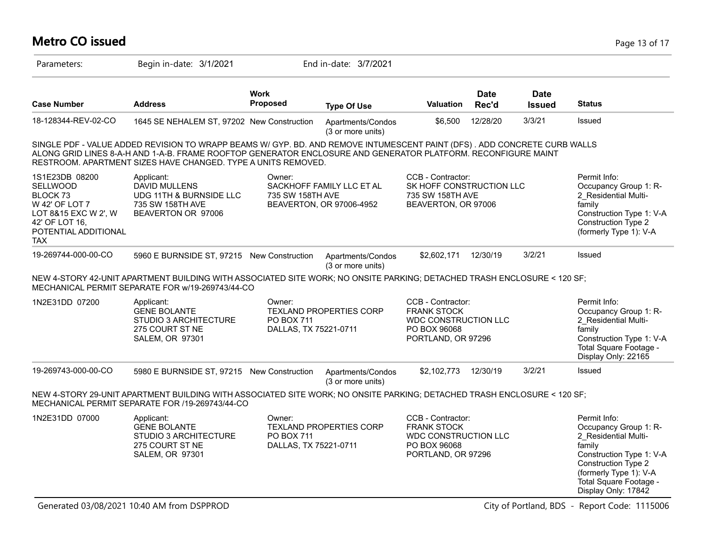# **Metro CO issued** Page 13 of 17

| Parameters:                                                                                                                                     | Begin in-date: 3/1/2021                                                                                                                                                                                                                                                                                    |                                               | End in-date: 3/7/2021                                 |                                                                                                              |                      |                              |                                                                                                                                                                                                       |
|-------------------------------------------------------------------------------------------------------------------------------------------------|------------------------------------------------------------------------------------------------------------------------------------------------------------------------------------------------------------------------------------------------------------------------------------------------------------|-----------------------------------------------|-------------------------------------------------------|--------------------------------------------------------------------------------------------------------------|----------------------|------------------------------|-------------------------------------------------------------------------------------------------------------------------------------------------------------------------------------------------------|
| <b>Case Number</b>                                                                                                                              | <b>Address</b>                                                                                                                                                                                                                                                                                             | <b>Work</b><br>Proposed                       | <b>Type Of Use</b>                                    | <b>Valuation</b>                                                                                             | <b>Date</b><br>Rec'd | <b>Date</b><br><b>Issued</b> | <b>Status</b>                                                                                                                                                                                         |
| 18-128344-REV-02-CO                                                                                                                             | 1645 SE NEHALEM ST, 97202 New Construction                                                                                                                                                                                                                                                                 |                                               | Apartments/Condos<br>(3 or more units)                | \$6,500                                                                                                      | 12/28/20             | 3/3/21                       | Issued                                                                                                                                                                                                |
|                                                                                                                                                 | SINGLE PDF - VALUE ADDED REVISION TO WRAPP BEAMS W/ GYP. BD. AND REMOVE INTUMESCENT PAINT (DFS). ADD CONCRETE CURB WALLS<br>ALONG GRID LINES 8-A-H AND 1-A-B. FRAME ROOFTOP GENERATOR ENCLOSURE AND GENERATOR PLATFORM. RECONFIGURE MAINT<br>RESTROOM. APARTMENT SIZES HAVE CHANGED. TYPE A UNITS REMOVED. |                                               |                                                       |                                                                                                              |                      |                              |                                                                                                                                                                                                       |
| 1S1E23DB 08200<br><b>SELLWOOD</b><br>BLOCK 73<br>W 42' OF LOT 7<br>LOT 8&15 EXC W 2', W<br>42' OF LOT 16,<br>POTENTIAL ADDITIONAL<br><b>TAX</b> | Applicant:<br><b>DAVID MULLENS</b><br>UDG 11TH & BURNSIDE LLC<br>735 SW 158TH AVE<br>BEAVERTON OR 97006                                                                                                                                                                                                    | Owner:<br>735 SW 158TH AVE                    | SACKHOFF FAMILY LLC ET AL<br>BEAVERTON, OR 97006-4952 | <b>CCB - Contractor:</b><br>SK HOFF CONSTRUCTION LLC<br>735 SW 158TH AVE<br>BEAVERTON, OR 97006              |                      |                              | Permit Info:<br>Occupancy Group 1: R-<br>2 Residential Multi-<br>$f$ amily<br>Construction Type 1: V-A<br>Construction Type 2<br>(formerly Type 1): V-A                                               |
| 19-269744-000-00-CO                                                                                                                             | 5960 E BURNSIDE ST, 97215 New Construction                                                                                                                                                                                                                                                                 |                                               | Apartments/Condos<br>(3 or more units)                | \$2,602,171                                                                                                  | 12/30/19             | 3/2/21                       | <b>Issued</b>                                                                                                                                                                                         |
|                                                                                                                                                 | NEW 4-STORY 42-UNIT APARTMENT BUILDING WITH ASSOCIATED SITE WORK; NO ONSITE PARKING; DETACHED TRASH ENCLOSURE < 120 SF;<br>MECHANICAL PERMIT SEPARATE FOR w/19-269743/44-CO                                                                                                                                |                                               |                                                       |                                                                                                              |                      |                              |                                                                                                                                                                                                       |
| 1N2E31DD 07200                                                                                                                                  | Applicant:<br><b>GENE BOLANTE</b><br>STUDIO 3 ARCHITECTURE<br>275 COURT ST NE<br><b>SALEM, OR 97301</b>                                                                                                                                                                                                    | Owner:<br>PO BOX 711<br>DALLAS, TX 75221-0711 | <b>TEXLAND PROPERTIES CORP</b>                        | CCB - Contractor:<br><b>FRANK STOCK</b><br><b>WDC CONSTRUCTION LLC</b><br>PO BOX 96068<br>PORTLAND, OR 97296 |                      |                              | Permit Info:<br>Occupancy Group 1: R-<br>2 Residential Multi-<br>family<br>Construction Type 1: V-A<br>Total Square Footage -<br>Display Only: 22165                                                  |
| 19-269743-000-00-CO                                                                                                                             | 5980 E BURNSIDE ST, 97215 New Construction                                                                                                                                                                                                                                                                 |                                               | Apartments/Condos<br>(3 or more units)                | \$2,102,773                                                                                                  | 12/30/19             | 3/2/21                       | Issued                                                                                                                                                                                                |
|                                                                                                                                                 | NEW 4-STORY 29-UNIT APARTMENT BUILDING WITH ASSOCIATED SITE WORK; NO ONSITE PARKING; DETACHED TRASH ENCLOSURE < 120 SF;<br>MECHANICAL PERMIT SEPARATE FOR /19-269743/44-CO                                                                                                                                 |                                               |                                                       |                                                                                                              |                      |                              |                                                                                                                                                                                                       |
| 1N2E31DD 07000                                                                                                                                  | Applicant:<br><b>GENE BOLANTE</b><br><b>STUDIO 3 ARCHITECTURE</b><br>275 COURT ST NE<br><b>SALEM, OR 97301</b>                                                                                                                                                                                             | Owner:<br>PO BOX 711<br>DALLAS, TX 75221-0711 | <b>TEXLAND PROPERTIES CORP</b>                        | CCB - Contractor:<br><b>FRANK STOCK</b><br>WDC CONSTRUCTION LLC<br>PO BOX 96068<br>PORTLAND, OR 97296        |                      |                              | Permit Info:<br>Occupancy Group 1: R-<br>2 Residential Multi-<br>family<br>Construction Type 1: V-A<br>Construction Type 2<br>(formerly Type 1): V-A<br>Total Square Footage -<br>Display Only: 17842 |

Generated 03/08/2021 10:40 AM from DSPPROD City of Portland, BDS - Report Code: 1115006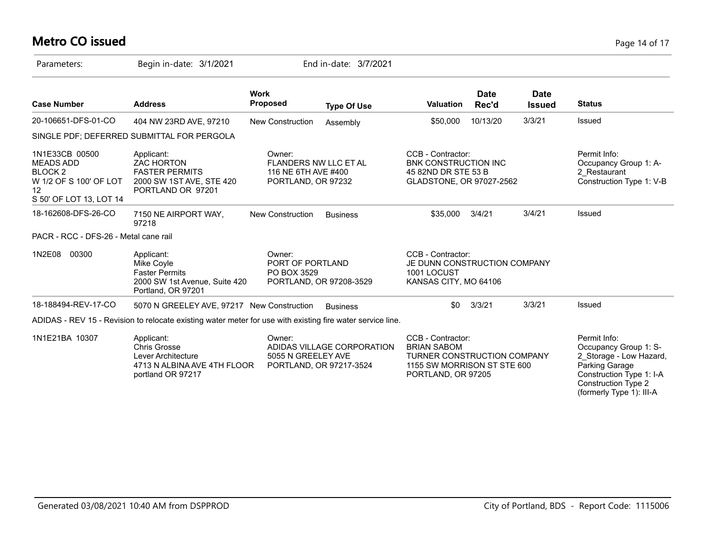# **Metro CO issued** Page 14 of 17

| Parameters:                                                                                                         | Begin in-date: 3/1/2021                                                                                     | End in-date: 3/7/2021                                                                 |                    |                                                                                                                             |                      |                              |                                                                                                                                                                          |
|---------------------------------------------------------------------------------------------------------------------|-------------------------------------------------------------------------------------------------------------|---------------------------------------------------------------------------------------|--------------------|-----------------------------------------------------------------------------------------------------------------------------|----------------------|------------------------------|--------------------------------------------------------------------------------------------------------------------------------------------------------------------------|
| <b>Case Number</b>                                                                                                  | <b>Address</b>                                                                                              | <b>Work</b><br><b>Proposed</b>                                                        | <b>Type Of Use</b> | <b>Valuation</b>                                                                                                            | <b>Date</b><br>Rec'd | <b>Date</b><br><b>Issued</b> | <b>Status</b>                                                                                                                                                            |
| 20-106651-DFS-01-CO                                                                                                 | 404 NW 23RD AVE, 97210                                                                                      | <b>New Construction</b>                                                               | Assembly           | \$50,000                                                                                                                    | 10/13/20             | 3/3/21                       | Issued                                                                                                                                                                   |
|                                                                                                                     | SINGLE PDF; DEFERRED SUBMITTAL FOR PERGOLA                                                                  |                                                                                       |                    |                                                                                                                             |                      |                              |                                                                                                                                                                          |
| 1N1E33CB 00500<br><b>MEADS ADD</b><br>BLOCK <sub>2</sub><br>W 1/2 OF S 100' OF LOT<br>12<br>S 50' OF LOT 13, LOT 14 | Applicant:<br><b>ZAC HORTON</b><br><b>FASTER PERMITS</b><br>2000 SW 1ST AVE, STE 420<br>PORTLAND OR 97201   | Owner:<br>FLANDERS NW LLC ET AL<br>116 NE 6TH AVE #400<br>PORTLAND, OR 97232          |                    | CCB - Contractor:<br><b>BNK CONSTRUCTION INC</b><br>45 82ND DR STE 53 B<br>GLADSTONE, OR 97027-2562                         |                      |                              | Permit Info:<br>Occupancy Group 1: A-<br>2 Restaurant<br>Construction Type 1: V-B                                                                                        |
| 18-162608-DFS-26-CO                                                                                                 | 7150 NE AIRPORT WAY,<br>97218                                                                               | <b>New Construction</b>                                                               | <b>Business</b>    | \$35,000                                                                                                                    | 3/4/21               | 3/4/21                       | Issued                                                                                                                                                                   |
| PACR - RCC - DFS-26 - Metal cane rail                                                                               |                                                                                                             |                                                                                       |                    |                                                                                                                             |                      |                              |                                                                                                                                                                          |
| 00300<br>1N2E08                                                                                                     | Applicant:<br>Mike Coyle<br><b>Faster Permits</b><br>2000 SW 1st Avenue, Suite 420<br>Portland, OR 97201    | Owner:<br>PORT OF PORTLAND<br>PO BOX 3529<br>PORTLAND, OR 97208-3529                  |                    | CCB - Contractor:<br>JE DUNN CONSTRUCTION COMPANY<br>1001 LOCUST<br>KANSAS CITY, MO 64106                                   |                      |                              |                                                                                                                                                                          |
| 18-188494-REV-17-CO                                                                                                 | 5070 N GREELEY AVE, 97217 New Construction                                                                  |                                                                                       | <b>Business</b>    | \$0                                                                                                                         | 3/3/21               | 3/3/21                       | Issued                                                                                                                                                                   |
|                                                                                                                     | ADIDAS - REV 15 - Revision to relocate existing water meter for use with existing fire water service line.  |                                                                                       |                    |                                                                                                                             |                      |                              |                                                                                                                                                                          |
| 1N1E21BA 10307                                                                                                      | Applicant:<br><b>Chris Grosse</b><br>Lever Architecture<br>4713 N ALBINA AVE 4TH FLOOR<br>portland OR 97217 | Owner:<br>ADIDAS VILLAGE CORPORATION<br>5055 N GREELEY AVE<br>PORTLAND, OR 97217-3524 |                    | CCB - Contractor:<br><b>BRIAN SABOM</b><br>TURNER CONSTRUCTION COMPANY<br>1155 SW MORRISON ST STE 600<br>PORTLAND, OR 97205 |                      |                              | Permit Info:<br>Occupancy Group 1: S-<br>2_Storage - Low Hazard,<br>Parking Garage<br>Construction Type 1: I-A<br><b>Construction Type 2</b><br>(formerly Type 1): III-A |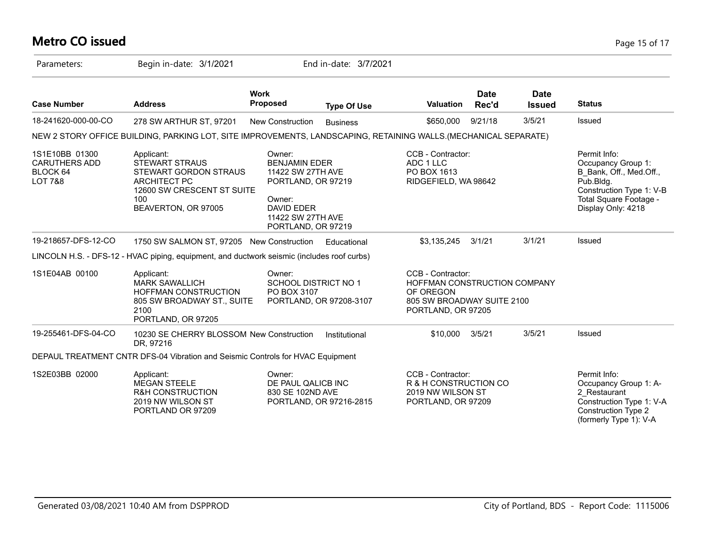# **Metro CO issued** Page 15 of 17

| Parameters:                                                              | Begin in-date: 3/1/2021                                                                                                                         |                                                                                                                                                     | End in-date: 3/7/2021   |                                                                                                                    |                      |                              |                                                                                                                                                        |
|--------------------------------------------------------------------------|-------------------------------------------------------------------------------------------------------------------------------------------------|-----------------------------------------------------------------------------------------------------------------------------------------------------|-------------------------|--------------------------------------------------------------------------------------------------------------------|----------------------|------------------------------|--------------------------------------------------------------------------------------------------------------------------------------------------------|
| <b>Case Number</b>                                                       | <b>Address</b>                                                                                                                                  | <b>Work</b><br>Proposed                                                                                                                             | <b>Type Of Use</b>      | <b>Valuation</b>                                                                                                   | <b>Date</b><br>Rec'd | <b>Date</b><br><b>Issued</b> | <b>Status</b>                                                                                                                                          |
| 18-241620-000-00-CO                                                      | 278 SW ARTHUR ST, 97201                                                                                                                         | New Construction                                                                                                                                    | <b>Business</b>         | \$650,000                                                                                                          | 9/21/18              | 3/5/21                       | Issued                                                                                                                                                 |
|                                                                          | NEW 2 STORY OFFICE BUILDING, PARKING LOT, SITE IMPROVEMENTS, LANDSCAPING, RETAINING WALLS. (MECHANICAL SEPARATE)                                |                                                                                                                                                     |                         |                                                                                                                    |                      |                              |                                                                                                                                                        |
| 1S1E10BB 01300<br><b>CARUTHERS ADD</b><br>BLOCK 64<br><b>LOT 7&amp;8</b> | Applicant:<br><b>STEWART STRAUS</b><br>STEWART GORDON STRAUS<br><b>ARCHITECT PC</b><br>12600 SW CRESCENT ST SUITE<br>100<br>BEAVERTON, OR 97005 | Owner:<br><b>BENJAMIN EDER</b><br>11422 SW 27TH AVE<br>PORTLAND, OR 97219<br>Owner:<br><b>DAVID EDER</b><br>11422 SW 27TH AVE<br>PORTLAND, OR 97219 |                         | CCB - Contractor:<br>ADC 1 LLC<br>PO BOX 1613<br>RIDGEFIELD, WA 98642                                              |                      |                              | Permit Info:<br>Occupancy Group 1:<br>B_Bank, Off., Med.Off.,<br>Pub.Bldg.<br>Construction Type 1: V-B<br>Total Square Footage -<br>Display Only: 4218 |
| 19-218657-DFS-12-CO                                                      | 1750 SW SALMON ST, 97205 New Construction                                                                                                       |                                                                                                                                                     | Educational             | \$3,135,245                                                                                                        | 3/1/21               | 3/1/21                       | Issued                                                                                                                                                 |
|                                                                          | LINCOLN H.S. - DFS-12 - HVAC piping, equipment, and ductwork seismic (includes roof curbs)                                                      |                                                                                                                                                     |                         |                                                                                                                    |                      |                              |                                                                                                                                                        |
| 1S1E04AB 00100                                                           | Applicant:<br><b>MARK SAWALLICH</b><br><b>HOFFMAN CONSTRUCTION</b><br>805 SW BROADWAY ST., SUITE<br>2100<br>PORTLAND, OR 97205                  | Owner:<br><b>SCHOOL DISTRICT NO 1</b><br>PO BOX 3107                                                                                                | PORTLAND, OR 97208-3107 | CCB - Contractor:<br>HOFFMAN CONSTRUCTION COMPANY<br>OF OREGON<br>805 SW BROADWAY SUITE 2100<br>PORTLAND, OR 97205 |                      |                              |                                                                                                                                                        |
| 19-255461-DFS-04-CO                                                      | 10230 SE CHERRY BLOSSOM New Construction<br>DR, 97216                                                                                           |                                                                                                                                                     | Institutional           | \$10,000                                                                                                           | 3/5/21               | 3/5/21                       | Issued                                                                                                                                                 |
|                                                                          | DEPAUL TREATMENT CNTR DFS-04 Vibration and Seismic Controls for HVAC Equipment                                                                  |                                                                                                                                                     |                         |                                                                                                                    |                      |                              |                                                                                                                                                        |
| 1S2E03BB 02000                                                           | Applicant:<br><b>MEGAN STEELE</b><br>R&H CONSTRUCTION<br>2019 NW WILSON ST<br>PORTLAND OR 97209                                                 | Owner:<br>DE PAUL QALICB INC<br>830 SE 102ND AVE                                                                                                    | PORTLAND, OR 97216-2815 | CCB - Contractor:<br>R & H CONSTRUCTION CO<br>2019 NW WILSON ST<br>PORTLAND, OR 97209                              |                      |                              | Permit Info:<br>Occupancy Group 1: A-<br>2 Restaurant<br>Construction Type 1: V-A<br><b>Construction Type 2</b><br>(formerly Type 1): V-A              |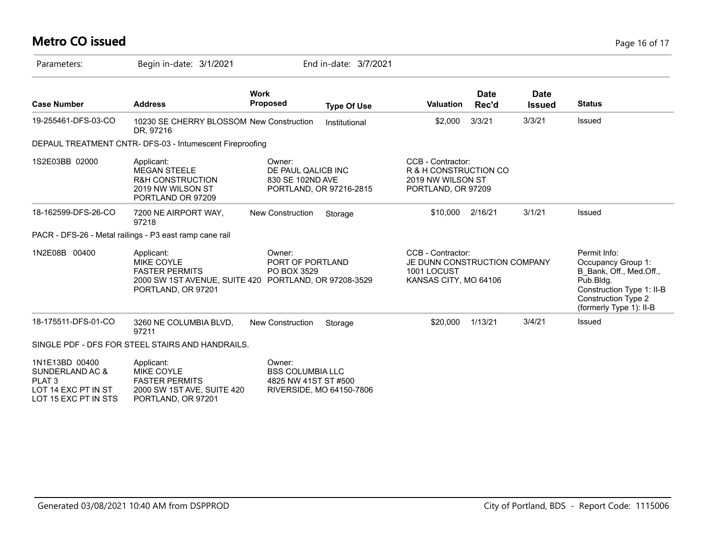# **Metro CO issued** Page 16 of 17

| Parameters:                                                                                           | Begin in-date: 3/1/2021                                                                                         |                                                           | End in-date: 3/7/2021    |                                                                                           |                      |                              |                                                                                                                                                                  |
|-------------------------------------------------------------------------------------------------------|-----------------------------------------------------------------------------------------------------------------|-----------------------------------------------------------|--------------------------|-------------------------------------------------------------------------------------------|----------------------|------------------------------|------------------------------------------------------------------------------------------------------------------------------------------------------------------|
| <b>Case Number</b>                                                                                    | <b>Address</b>                                                                                                  | <b>Work</b><br><b>Proposed</b>                            | <b>Type Of Use</b>       | <b>Valuation</b>                                                                          | <b>Date</b><br>Rec'd | <b>Date</b><br><b>Issued</b> | <b>Status</b>                                                                                                                                                    |
| 19-255461-DFS-03-CO                                                                                   | 10230 SE CHERRY BLOSSOM New Construction<br>DR, 97216                                                           |                                                           | Institutional            | \$2,000                                                                                   | 3/3/21               | 3/3/21                       | <b>Issued</b>                                                                                                                                                    |
|                                                                                                       | DEPAUL TREATMENT CNTR- DFS-03 - Intumescent Fireproofing                                                        |                                                           |                          |                                                                                           |                      |                              |                                                                                                                                                                  |
| 1S2E03BB 02000                                                                                        | Applicant:<br><b>MEGAN STEELE</b><br><b>R&amp;H CONSTRUCTION</b><br>2019 NW WILSON ST<br>PORTLAND OR 97209      | Owner:<br>DE PAUL QALICB INC<br>830 SE 102ND AVE          | PORTLAND, OR 97216-2815  | CCB - Contractor:<br>R & H CONSTRUCTION CO<br>2019 NW WILSON ST<br>PORTLAND, OR 97209     |                      |                              |                                                                                                                                                                  |
| 18-162599-DFS-26-CO                                                                                   | 7200 NE AIRPORT WAY,<br>97218                                                                                   | New Construction                                          | Storage                  | \$10,000                                                                                  | 2/16/21              | 3/1/21                       | <b>Issued</b>                                                                                                                                                    |
|                                                                                                       | PACR - DFS-26 - Metal railings - P3 east ramp cane rail                                                         |                                                           |                          |                                                                                           |                      |                              |                                                                                                                                                                  |
| 1N2E08B 00400                                                                                         | Applicant:<br><b>MIKE COYLE</b><br><b>FASTER PERMITS</b><br>2000 SW 1ST AVENUE, SUITE 420<br>PORTLAND, OR 97201 | Owner:<br>PORT OF PORTLAND<br>PO BOX 3529                 | PORTLAND, OR 97208-3529  | CCB - Contractor:<br>JE DUNN CONSTRUCTION COMPANY<br>1001 LOCUST<br>KANSAS CITY, MO 64106 |                      |                              | Permit Info:<br>Occupancy Group 1:<br>B Bank, Off., Med.Off.,<br>Pub.Bldg.<br>Construction Type 1: II-B<br><b>Construction Type 2</b><br>(formerly Type 1): II-B |
| 18-175511-DFS-01-CO                                                                                   | 3260 NE COLUMBIA BLVD,<br>97211                                                                                 | New Construction                                          | Storage                  | \$20,000                                                                                  | 1/13/21              | 3/4/21                       | <b>Issued</b>                                                                                                                                                    |
|                                                                                                       | SINGLE PDF - DFS FOR STEEL STAIRS AND HANDRAILS.                                                                |                                                           |                          |                                                                                           |                      |                              |                                                                                                                                                                  |
| 1N1E13BD 00400<br>SUNDERLAND AC &<br>PLAT <sub>3</sub><br>LOT 14 EXC PT IN ST<br>LOT 15 EXC PT IN STS | Applicant:<br><b>MIKE COYLE</b><br><b>FASTER PERMITS</b><br>2000 SW 1ST AVE, SUITE 420<br>PORTLAND, OR 97201    | Owner:<br><b>BSS COLUMBIA LLC</b><br>4825 NW 41ST ST #500 | RIVERSIDE, MO 64150-7806 |                                                                                           |                      |                              |                                                                                                                                                                  |